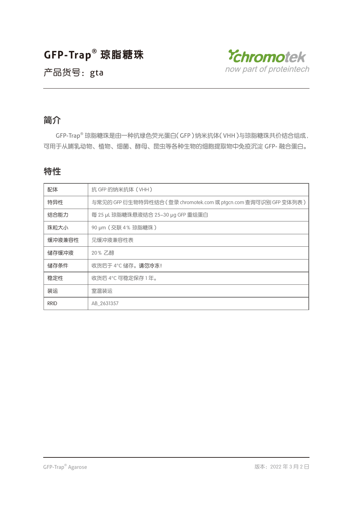



### 简介

GFP-Trap® 琼脂糖珠是由一种抗绿色荧光蛋白(GFP)纳米抗体(VHH)与琼脂糖珠共价结合组成, 可用于从哺乳动物、植物、细菌、酵母、昆虫等各种生物的细胞提取物中免疫沉淀 GFP- 融合蛋白。

### 特性

| 配体          | 抗 GFP 的纳米抗体 (VHH)                                                 |
|-------------|-------------------------------------------------------------------|
| 特异性         | 与常见的 GFP 衍生物特异性结合 ( 登录 chromotek.com 或 ptgcn.com 查询可识别 GFP 变体列表 ) |
| 结合能力        | 每 25 μL 琼脂糖珠悬液结合 25-30 μg GFP 重组蛋白                                |
| 珠粒大小        | 90 µm (交联 4% 琼脂糖珠)                                                |
| 缓冲液兼容性      | 见缓冲液兼容性表                                                          |
| 储存缓冲液       | 20% 乙醇                                                            |
| 储存条件        | 收货后于 4°C 储存。请勿冷冻!                                                 |
| 稳定性         | 收货后 4°C 可稳定保存 1年。                                                 |
| 装运          | 室温装运                                                              |
| <b>RRID</b> | AB 2631357                                                        |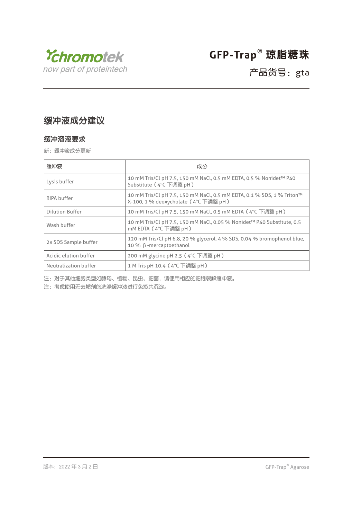

### 产品货号: gta

### 缓冲液成分建议

#### 缓冲溶液要求

新:缓冲液成分更新

| 缓冲液                    | 成分                                                                                                             |
|------------------------|----------------------------------------------------------------------------------------------------------------|
| Lysis buffer           | 10 mM Tris/Cl pH 7.5, 150 mM NaCl, 0.5 mM EDTA, 0.5 % Nonidet™ P40<br>Substitute (4°C 下调整 pH)                  |
| RIPA buffer            | 10 mM Tris/Cl pH 7.5, 150 mM NaCl, 0.5 mM EDTA, 0.1 % SDS, 1 % Triton™<br>X-100, 1 % deoxycholate (4°C 下调整 pH) |
| <b>Dilution Buffer</b> | 10 mM Tris/Cl pH 7.5, 150 mM NaCl, 0.5 mM EDTA (4°C 下调整 pH)                                                    |
| Wash buffer            | 10 mM Tris/Cl pH 7.5, 150 mM NaCl, 0.05 % Nonidet™ P40 Substitute, 0.5<br>mM EDTA (4°C 下调整 pH)                 |
| 2x SDS Sample buffer   | 120 mM Tris/Cl pH 6.8, 20 % glycerol, 4 % SDS, 0.04 % bromophenol blue,<br>10 % β-mercaptoethanol              |
| Acidic elution buffer  | 200 mM glycine pH 2.5 (4°C 下调整 pH)                                                                             |
| Neutralization buffer  | 1 M Tris pH 10.4 (4°C 下调整 pH)                                                                                  |

注:对于其他细胞类型如酵母、植物、昆虫、细菌,请使用相应的细胞裂解缓冲液。

注:考虑使用无去垢剂的洗涤缓冲液进行免疫共沉淀。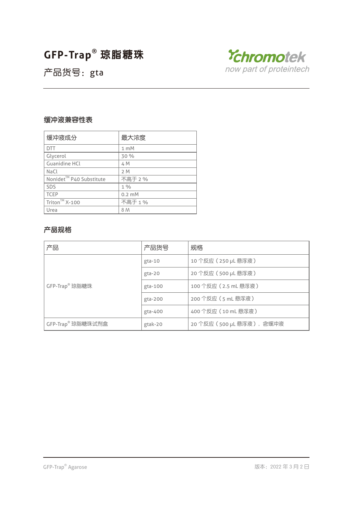

产品货号:gta

### 缓冲液兼容性表

| 缓冲液成分                               | 最大浓度           |
|-------------------------------------|----------------|
| <b>DTT</b>                          | $1 \text{ mM}$ |
| Glycerol                            | 30 %           |
| <b>Guanidine HCL</b>                | 4 M            |
| NaCl                                | 2M             |
| Nonidet <sup>™</sup> P40 Substitute | 不高于 2 %        |
| SDS                                 | $1\%$          |
| <b>TCEP</b>                         | $0.2$ mM       |
| Triton <sup>™</sup> X-100           | 不高于 1%         |
| Urea                                | 8 M            |

### 产品规格

| 产品                         | 产品货号     | 规格                       |
|----------------------------|----------|--------------------------|
|                            | $gta-10$ | 10 个反应 (250 µL 悬浮液)      |
|                            | gta-20   | 20 个反应 (500 µL 悬浮液)      |
| GFP-Trap <sup>®</sup> 琼脂糖珠 | gta-100  | 100 个反应 (2.5 mL 悬浮液)     |
|                            | gta-200  | 200 个反应 (5 mL 悬浮液)       |
|                            | gta-400  | 400 个反应 (10 mL 悬浮液)      |
| GFP-Trap® 琼脂糖珠试剂盒          | gtak-20  | 20个反应 (500 µL 悬浮液), 含缓冲液 |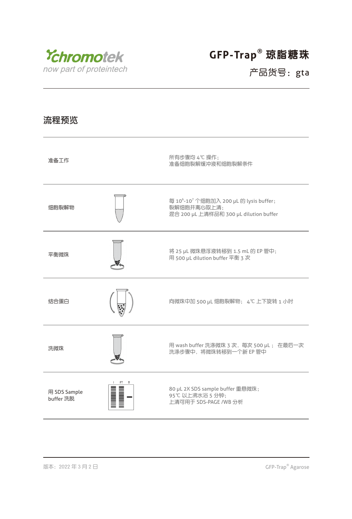

## 产品货号:gta

### 流程预览

| 准备工作                      | 所有步骤均 4℃操作:<br>准备细胞裂解缓冲液和细胞裂解条件                                                                                          |
|---------------------------|--------------------------------------------------------------------------------------------------------------------------|
| 细胞裂解物                     | 每 10 <sup>6</sup> -10 <sup>7</sup> 个细胞加入 200 μL 的 lysis buffer;<br>裂解细胞并离心取上清:<br>混合 200 µL 上清样品和 300 µL dilution buffer |
| 平衡微珠                      | 将 25 µL 微珠悬浮液转移到 1.5 mL 的 EP 管中;<br>用 500 µL dilution buffer 平衡 3 次                                                      |
| 结合蛋白                      | 向微珠中加 500 µL 细胞裂解物; 4℃ 上下旋转 1 小时                                                                                         |
| 洗微珠                       | 用 wash buffer 洗涤微珠 3 次, 每次 500 µL; 在最后一次<br>洗涤步骤中, 将微珠转移到一个新 EP 管中                                                       |
| 用 SDS Sample<br>buffer 洗脱 | 80 µL 2X SDS sample buffer 重悬微珠;<br>95℃以上沸水浴 5 分钟:<br>上清可用于 SDS-PAGE /WB 分析                                              |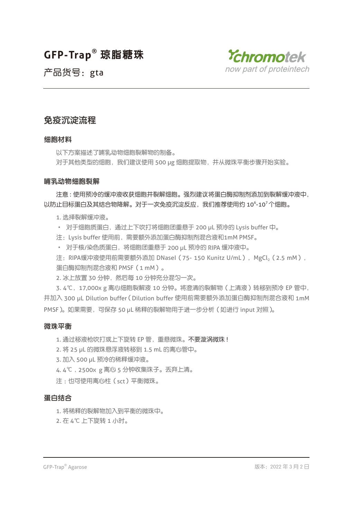

产品货号:gta

### 免疫沉淀流程

#### 细胞材料

以下方案描述了哺乳动物细胞裂解物的制备。

对于其他类型的细胞,我们建议使用 500 µg 细胞提取物,并从微珠平衡步骤开始实验。

#### 哺乳动物细胞裂解

注意 : 使用预冷的缓冲液收获细胞并裂解细胞。强烈建议将蛋白酶抑制剂添加到裂解缓冲液中, 以防止目标蛋白及其结合物降解。对于一次免疫沉淀反应,我们推荐使用约 10 $^{\rm 6}$ -10 $^{\rm 7}$ 个细胞。

1. 选择裂解缓冲液。

· 对于细胞质蛋白,通过上下吹打将细胞团重悬于 200 µL 预冷的 Lysis buffer 中。

注:Lysis buffer 使用前,需要额外添加蛋白酶抑制剂混合液和1mM PMSF。

· 对于核/染色质蛋白,将细胞团重悬于 200 µL 预冷的 RIPA 缓冲液中。

注: RIPA缓冲液使用前需要额外添加 DNaseI (75- 150 Kunitz U/mL), MgCl, (2.5 mM), 蛋白酶抑制剂混合液和 PMSF(1 mM)。

2. 冰上放置 30 分钟, 然后每 10 分钟充分混匀一次。

3. 4℃,17,000x g 离心细胞裂解液 10 分钟。将澄清的裂解物(上清液)转移到预冷 EP 管中, 并加入 300 µL Dilution buffer (Dilution buffer 使用前需要额外添加蛋白酶抑制剂混合液和 1mM PMSF)。如果需要,可保存 50 uL 稀释的裂解物用于进一步分析 (如进行 input 对照)。

#### 微珠平衡

1. 通过移液枪吹打或上下旋转 EP 管, 重悬微珠。不要漩涡微珠 !

2. 将 25 µL 的微珠悬浮液转移到 1.5 mL 的离心管中。

- 3. 加入 500 µL 预冷的稀释缓冲液。
- 4. 4℃ , 2500x g 离心 5 分钟收集珠子。丢弃上清。

注 : 也可使用离心柱 (sct)平衡微珠。

#### 蛋白结合

1. 将稀释的裂解物加入到平衡的微珠中。

2. 在 4℃ 上下旋转 1 小时。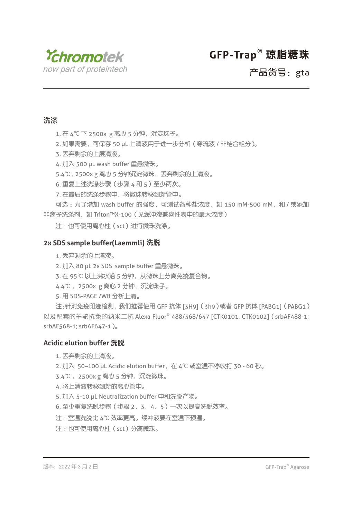

产品货号:gta

### 洗涤

1. 在 4℃ 下 2500x g 离心 5 分钟, 沉淀珠子。

2. 如果需要, 可保存 50 uL 上清液用于进一步分析 (穿流液 / 非结合组分)。

3. 丢弃剩余的上层清液。

4. 加入 500 µL wash buffer 重悬微珠。

5.4℃, 2500x g 离心 5 分钟沉淀微珠, 丢弃剩余的上清液。

6. 重复上述洗涤步骤(步骤 4 和 5)至少两次。

7. 在最后的洗涤步骤中,将微珠转移到新管中。

可选 : 为了增加 wash buffer 的强度, 可测试各种盐浓度, 如 150 mM-500 mM, 和 / 或添加 非离子洗涤剂, 如 Triton™X-100 (见缓冲液兼容性表中的最大浓度)

注 :也可使用离心柱(sct)进行微珠洗涤。

#### **2x SDS sample buffer(Laemmli)** 洗脱

1. 丢弃剩余的上清液。

2. 加入 80 µL 2x SDS sample buffer 重悬微珠。

3. 在 95℃ 以上沸水浴 5 分钟,从微珠上分离免疫复合物。

4.4℃, 2500x g 离心 2 分钟, 沉淀珠子。

5. 用 SDS-PAGE /WB 分析上清。

注:针对免疫印迹检测,我们推荐使用 GFP 抗体 [3H9](3h9)或者 GFP 抗体 [PABG1](PABG1) 以及配套的羊驼抗兔的纳米二抗 Alexa Fluor® 488/568/647 [CTK0101, CTK0102](srbAF488-1; srbAF568-1; srbAF647-1)。

#### **Acidic elution buffer** 洗脱

- 1. 丢弃剩余的上清液。
- 2. 加入 50-100 µL Acidic elution buffer, 在 4℃ 或室温不停吹打 30 60 秒。
- 3.4℃ ,2500x g 离心 5 分钟,沉淀微珠。
- 4. 将上清液转移到新的离心管中。
- 5. 加入 5-10 µL Neutralization buffer 中和洗脱产物。
- 6. 至少重复洗脱步骤(步骤 2,3,4,5)一次以提高洗脱效率。
- 注 :室温洗脱比 4℃ 效率更高。缓冲液要在室温下预温。
- 注 · 也可使用离心柱 (sct)分离微珠。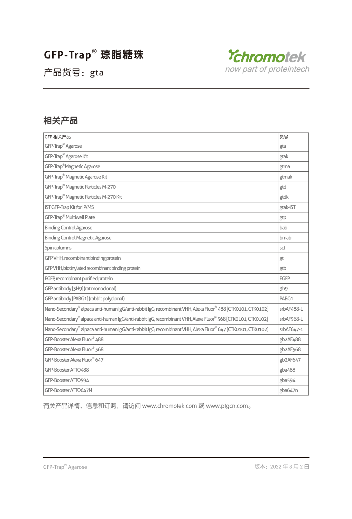

产品货号:gta

### 相关产品

| GFP 相关产品                                                                                                                  | 货号         |  |
|---------------------------------------------------------------------------------------------------------------------------|------------|--|
| GFP-Trap <sup>®</sup> Agarose<br>gta                                                                                      |            |  |
| GFP-Trap <sup>®</sup> Agarose Kit                                                                                         | gtak       |  |
| GFP-Trap <sup>®</sup> Magnetic Agarose<br>gtma                                                                            |            |  |
| GFP-Trap <sup>®</sup> Magnetic Agarose Kit                                                                                | gtmak      |  |
| GFP-Trap <sup>®</sup> Magnetic Particles M-270<br>gtd                                                                     |            |  |
| GFP-Trap <sup>®</sup> Magnetic Particles M-270 Kit<br>gtdk                                                                |            |  |
| iST GFP-Trap Kit for IP/MS<br>gtak-iST                                                                                    |            |  |
| GFP-Trap <sup>®</sup> Multiwell Plate                                                                                     | gtp        |  |
| <b>Binding Control Agarose</b>                                                                                            | bab        |  |
| <b>Binding Control Magnetic Agarose</b>                                                                                   | bmab       |  |
| Spin columns                                                                                                              | sct        |  |
| GFP VHH, recombinant binding protein                                                                                      | gt         |  |
| GFP VHH, biotinylated recombinant binding protein<br>gtb                                                                  |            |  |
| EGFP, recombinant purified protein<br><b>EGFP</b>                                                                         |            |  |
| GFP antibody [3H9] (rat monoclonal)<br>3h9                                                                                |            |  |
| GFP antibody [PABG1] (rabbit polyclonal)<br>PABG1                                                                         |            |  |
| Nano-Secondary® alpaca anti-human IgG/anti-rabbit IgG, recombinant VHH, Alexa Fluor® 488 [CTK0101, CTK0102]<br>srbAF488-1 |            |  |
| Nano-Secondary® alpaca anti-human IgG/anti-rabbit IgG, recombinant VHH, Alexa Fluor® 568 [CTK0101, CTK0102]               | srbAF568-1 |  |
| Nano-Secondary® alpaca anti-human IgG/anti-rabbit IgG, recombinant VHH, Alexa Fluor® 647 [CTK0101, CTK0102]               | srbAF647-1 |  |
| GFP-Booster Alexa Fluor® 488                                                                                              |            |  |
| GFP-Booster Alexa Fluor® 568<br>gb2AF568                                                                                  |            |  |
| GFP-Booster Alexa Fluor® 647<br>gb2AF647                                                                                  |            |  |
| GFP-Booster ATTO488                                                                                                       |            |  |
| GFP-Booster ATTO594<br>gba594                                                                                             |            |  |
| GFP-Booster ATTO647N                                                                                                      | gba647n    |  |

有关产品详情、信息和订购,请访问 www.chromotek.com 或 www.ptgcn.com。